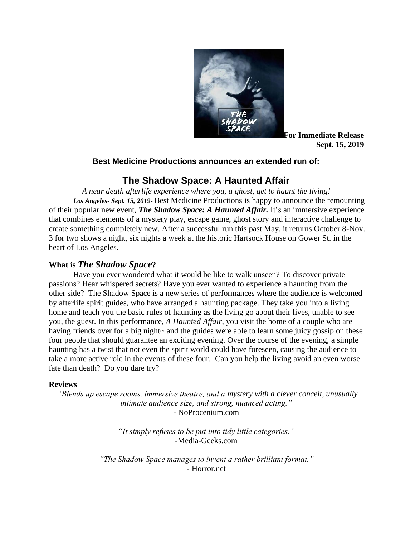

**For Immediate Release Sept. 15, 2019**

### **Best Medicine Productions announces an extended run of:**

# **The Shadow Space: A Haunted Affair**

*A near death afterlife experience where you, a ghost, get to haunt the living! Los Angeles- Sept. 15, 2019***-** Best Medicine Productions is happy to announce the remounting of their popular new event, *The Shadow Space: A Haunted Affair.* It's an immersive experience that combines elements of a mystery play, escape game, ghost story and interactive challenge to create something completely new. After a successful run this past May, it returns October 8-Nov. 3 for two shows a night, six nights a week at the historic Hartsock House on Gower St. in the heart of Los Angeles.

### **What is** *The Shadow Space***?**

Have you ever wondered what it would be like to walk unseen? To discover private passions? Hear whispered secrets? Have you ever wanted to experience a haunting from the other side? The Shadow Space is a new series of performances where the audience is welcomed by afterlife spirit guides, who have arranged a haunting package. They take you into a living home and teach you the basic rules of haunting as the living go about their lives, unable to see you, the guest. In this performance, *A Haunted Affair*, you visit the home of a couple who are having friends over for a big night~ and the guides were able to learn some juicy gossip on these four people that should guarantee an exciting evening. Over the course of the evening, a simple haunting has a twist that not even the spirit world could have foreseen, causing the audience to take a more active role in the events of these four. Can you help the living avoid an even worse fate than death? Do you dare try?

#### **Reviews**

*"Blends up escape rooms, immersive theatre, and a mystery with a clever conceit, unusually intimate audience size, and strong, nuanced acting."* - NoProcenium.com

> *"It simply refuses to be put into tidy little categories."* -Media-Geeks.com

*"The Shadow Space manages to invent a rather brilliant format."* - Horror.net